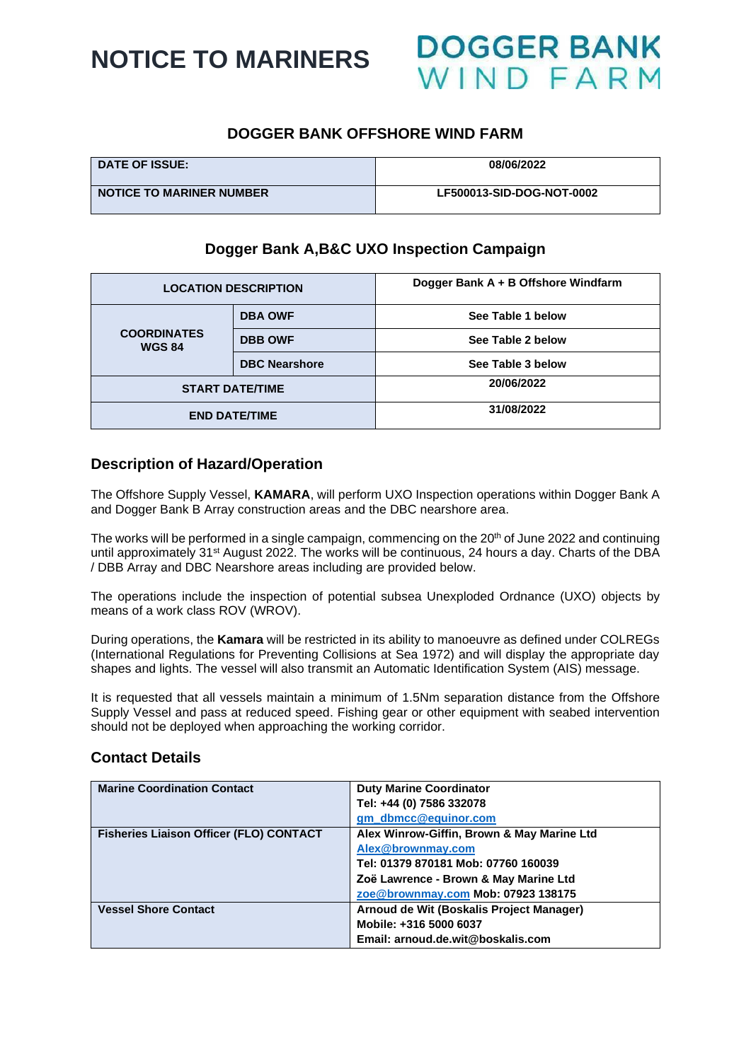

## **DOGGER BANK OFFSHORE WIND FARM**

| <b>DATE OF ISSUE:</b>           | 08/06/2022                |
|---------------------------------|---------------------------|
| <b>NOTICE TO MARINER NUMBER</b> | LF500013-SID-DOG-NOT-0002 |

## **Dogger Bank A,B&C UXO Inspection Campaign**

| <b>LOCATION DESCRIPTION</b>         |                        | Dogger Bank A + B Offshore Windfarm |  |
|-------------------------------------|------------------------|-------------------------------------|--|
| <b>COORDINATES</b><br><b>WGS 84</b> | <b>DBA OWF</b>         | See Table 1 below                   |  |
|                                     | <b>DBB OWF</b>         | See Table 2 below                   |  |
|                                     | <b>DBC Nearshore</b>   | See Table 3 below                   |  |
|                                     | <b>START DATE/TIME</b> | 20/06/2022                          |  |
| <b>END DATE/TIME</b>                |                        | 31/08/2022                          |  |

## **Description of Hazard/Operation**

The Offshore Supply Vessel, **KAMARA**, will perform UXO Inspection operations within Dogger Bank A and Dogger Bank B Array construction areas and the DBC nearshore area.

The works will be performed in a single campaign, commencing on the 20<sup>th</sup> of June 2022 and continuing until approximately 31<sup>st</sup> August 2022. The works will be continuous, 24 hours a day. Charts of the DBA / DBB Array and DBC Nearshore areas including are provided below.

The operations include the inspection of potential subsea Unexploded Ordnance (UXO) objects by means of a work class ROV (WROV).

During operations, the **Kamara** will be restricted in its ability to manoeuvre as defined under COLREGs (International Regulations for Preventing Collisions at Sea 1972) and will display the appropriate day shapes and lights. The vessel will also transmit an Automatic Identification System (AIS) message.

It is requested that all vessels maintain a minimum of 1.5Nm separation distance from the Offshore Supply Vessel and pass at reduced speed. Fishing gear or other equipment with seabed intervention should not be deployed when approaching the working corridor.

#### **Contact Details**

| <b>Marine Coordination Contact</b>             | <b>Duty Marine Coordinator</b>             |
|------------------------------------------------|--------------------------------------------|
|                                                | Tel: +44 (0) 7586 332078                   |
|                                                | gm_dbmcc@equinor.com                       |
| <b>Fisheries Liaison Officer (FLO) CONTACT</b> | Alex Winrow-Giffin, Brown & May Marine Ltd |
|                                                | Alex@brownmay.com                          |
|                                                | Tel: 01379 870181 Mob: 07760 160039        |
|                                                | Zoë Lawrence - Brown & May Marine Ltd      |
|                                                | zoe@brownmay.com Mob: 07923 138175         |
| <b>Vessel Shore Contact</b>                    | Arnoud de Wit (Boskalis Project Manager)   |
|                                                | Mobile: +316 5000 6037                     |
|                                                | Email: arnoud.de.wit@boskalis.com          |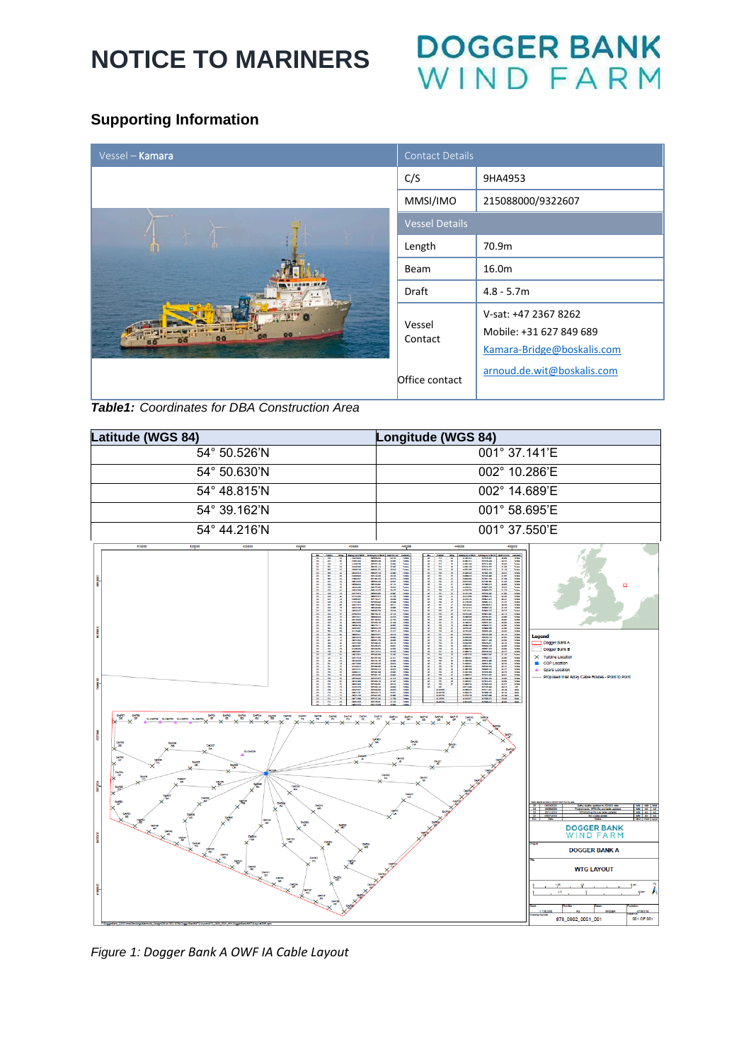# DOGGER BANK<br>WIND FARM

## **Supporting Information**

| Vessel - Kamara                               | <b>Contact Details</b> |                                                                                                             |
|-----------------------------------------------|------------------------|-------------------------------------------------------------------------------------------------------------|
|                                               | C/S                    | 9HA4953                                                                                                     |
|                                               | MMSI/IMO               | 215088000/9322607                                                                                           |
|                                               | <b>Vessel Details</b>  |                                                                                                             |
|                                               | Length                 | 70.9m                                                                                                       |
|                                               | Beam                   | 16.0m                                                                                                       |
|                                               | Draft                  | $4.8 - 5.7m$                                                                                                |
|                                               | Vessel<br>Contact      | V-sat: +47 2367 8262<br>Mobile: +31 627 849 689<br>Kamara-Bridge@boskalis.com<br>arnoud.de.wit@boskalis.com |
| Tabled: Coordinates for DDA Construction Area | Office contact         |                                                                                                             |

*Table1: Coordinates for DBA Construction Area*



*Figure 1: Dogger Bank A OWF IA Cable Layout*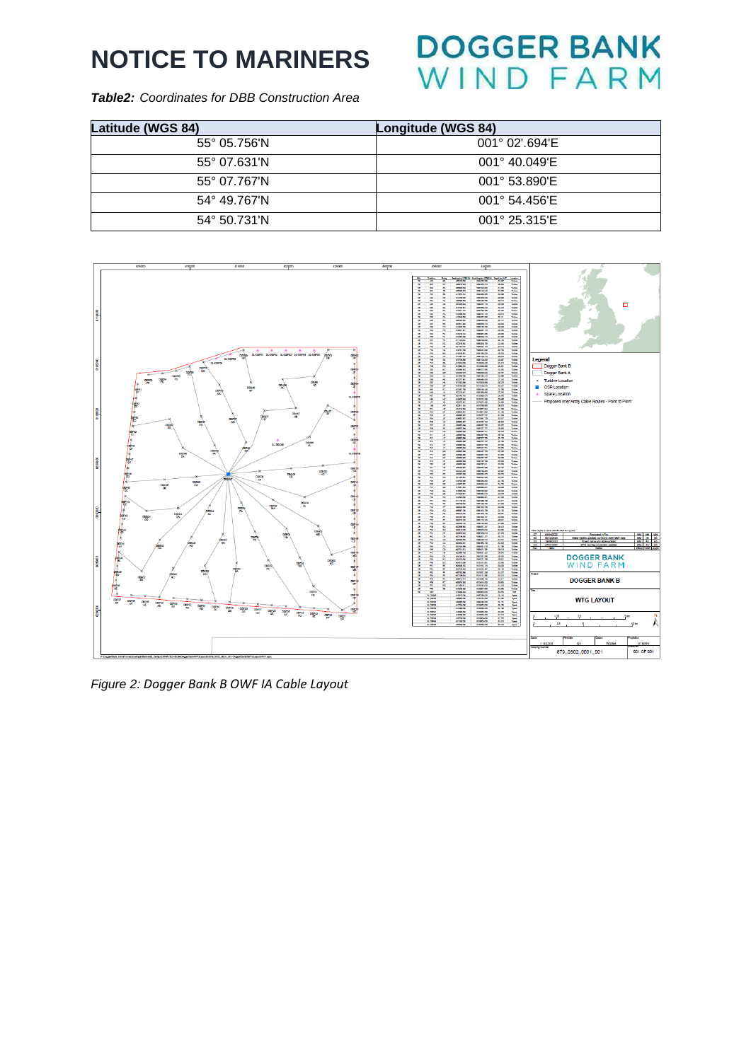# **DOGGER BANK NIND FARM**

*Table2: Coordinates for DBB Construction Area*

| Latitude (WGS 84)     | Longitude (WGS 84)      |
|-----------------------|-------------------------|
| $55^{\circ}$ 05.756'N | $001^{\circ}$ 02' 694'E |
| $55^{\circ}$ 07.631'N | $001^{\circ}$ 40.049'E  |
| 55° 07.767'N          | 001° 53.890'E           |
| 54° 49.767'N          | $001^{\circ}$ 54.456'E  |
| 54° 50.731'N          | $001^{\circ}$ 25.315'E  |



*Figure 2: Dogger Bank B OWF IA Cable Layout*